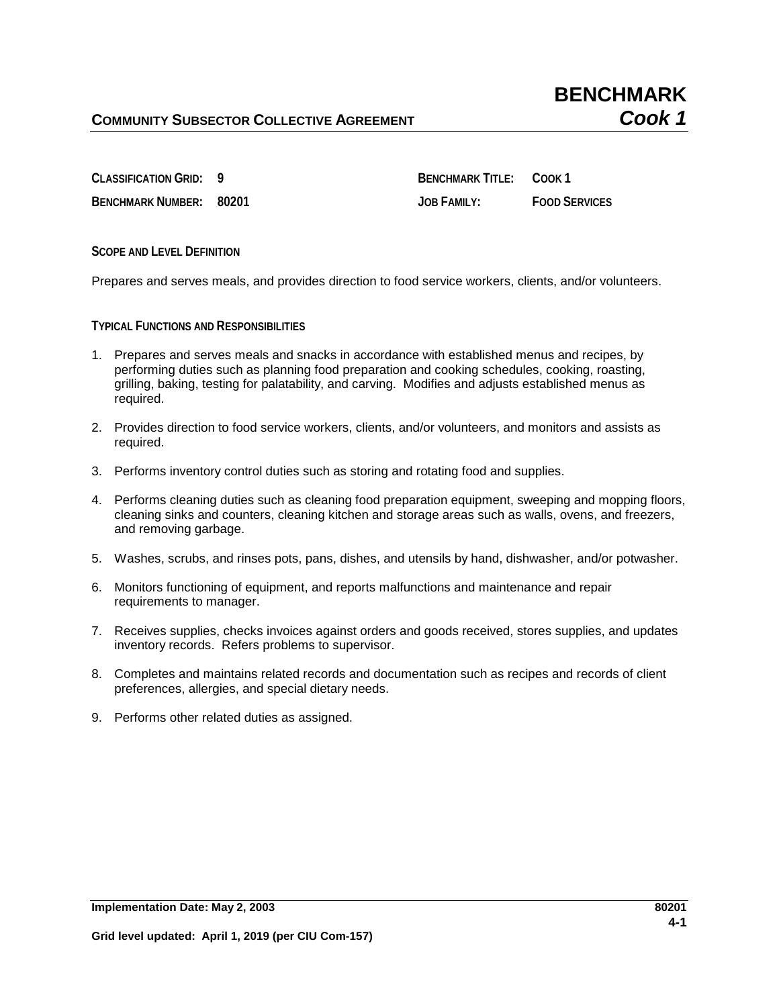**BENCHMARK NUMBER: 80201 JOB FAMILY: FOOD SERVICES**

**CLASSIFICATION GRID: 9 BENCHMARK TITLE: COOK 1**

**SCOPE AND LEVEL DEFINITION**

Prepares and serves meals, and provides direction to food service workers, clients, and/or volunteers.

**TYPICAL FUNCTIONS AND RESPONSIBILITIES**

- 1. Prepares and serves meals and snacks in accordance with established menus and recipes, by performing duties such as planning food preparation and cooking schedules, cooking, roasting, grilling, baking, testing for palatability, and carving. Modifies and adjusts established menus as required.
- 2. Provides direction to food service workers, clients, and/or volunteers, and monitors and assists as required.
- 3. Performs inventory control duties such as storing and rotating food and supplies.
- 4. Performs cleaning duties such as cleaning food preparation equipment, sweeping and mopping floors, cleaning sinks and counters, cleaning kitchen and storage areas such as walls, ovens, and freezers, and removing garbage.
- 5. Washes, scrubs, and rinses pots, pans, dishes, and utensils by hand, dishwasher, and/or potwasher.
- 6. Monitors functioning of equipment, and reports malfunctions and maintenance and repair requirements to manager.
- 7. Receives supplies, checks invoices against orders and goods received, stores supplies, and updates inventory records. Refers problems to supervisor.
- 8. Completes and maintains related records and documentation such as recipes and records of client preferences, allergies, and special dietary needs.
- 9. Performs other related duties as assigned.